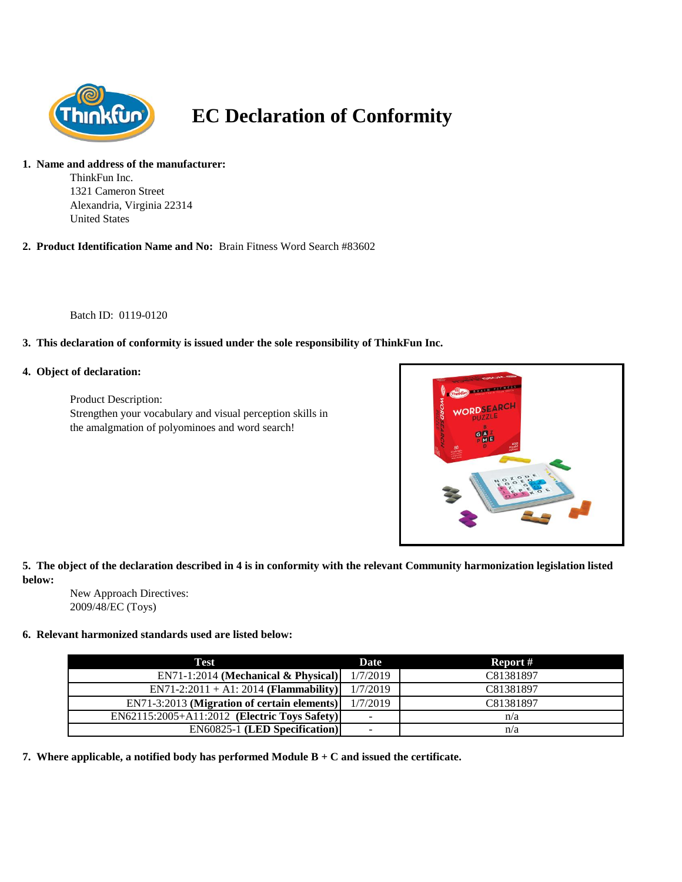

# **EC Declaration of Conformity**

#### **1. Name and address of the manufacturer:**

ThinkFun Inc. 1321 Cameron Street Alexandria, Virginia 22314 United States

**2. Product Identification Name and No:** Brain Fitness Word Search #83602

Batch ID: 0119-0120

# **3. This declaration of conformity is issued under the sole responsibility of ThinkFun Inc.**

#### **4. Object of declaration:**

Product Description: Strengthen your vocabulary and visual perception skills in the amalgmation of polyominoes and word search!



**5. The object of the declaration described in 4 is in conformity with the relevant Community harmonization legislation listed below:**

New Approach Directives: 2009/48/EC (Toys)

## **6. Relevant harmonized standards used are listed below:**

| Test                                         | Date     | Report #  |
|----------------------------------------------|----------|-----------|
| $EN71-1:2014$ (Mechanical & Physical)        | 1/7/2019 | C81381897 |
| $EN71-2:2011 + A1:2014 (Flammablity)$        | 1/7/2019 | C81381897 |
| EN71-3:2013 (Migration of certain elements)  | 1/7/2019 | C81381897 |
| EN62115:2005+A11:2012 (Electric Toys Safety) | ۰        | n/a       |
| <b>EN60825-1 (LED Specification)</b>         |          | n/a       |

**7. Where applicable, a notified body has performed Module B + C and issued the certificate.**